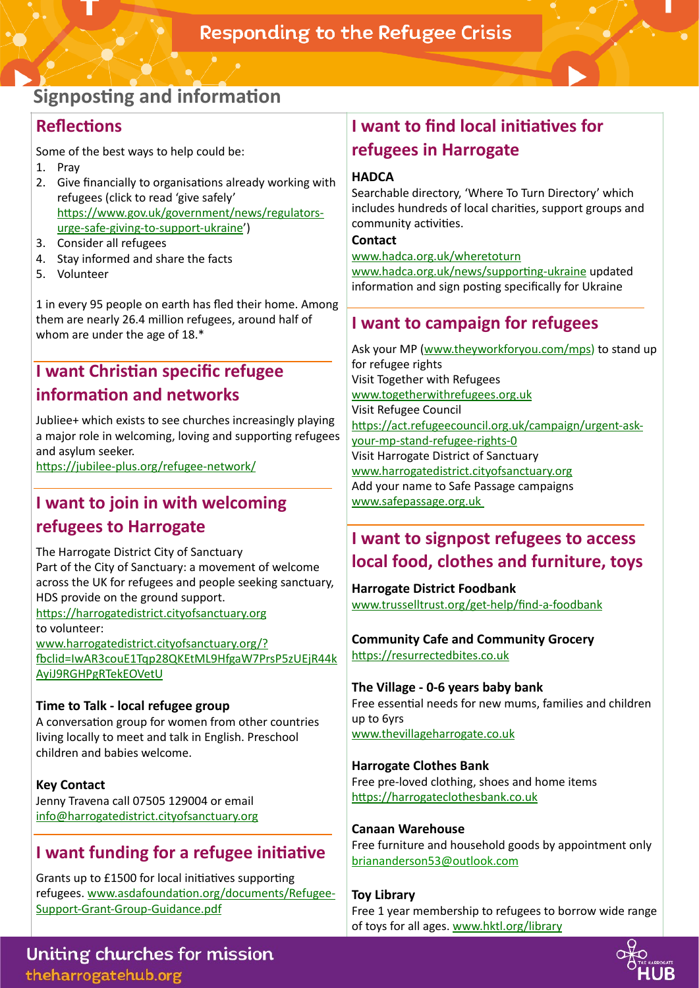# **Signposting and information**

### **Reflections**

Some of the best ways to help could be:

- 1. Pray
- 2. Give financially to organisations already working with refugees (click to read 'give safely' https://www.gov.uk/government/news/regulatorsurge-safe-giving-to-support-ukraine') 3. Consider all refugees
- 4. Stay informed and share the facts
- 5. Volunteer

1 in every 95 people on earth has fled their home. Among them are nearly 26.4 million refugees, around half of whom are under the age of 18.\*

### **I want Christian specific refugee information and networks**

Jubliee+ which exists to see churches increasingly playing a major role in welcoming, loving and supporting refugees and asylum seeker.

https://jubilee-plus.org/refugee-network/

# **I want to join in with welcoming refugees to Harrogate**

The Harrogate District City of Sanctuary Part of the City of Sanctuary: a movement of welcome across the UK for refugees and people seeking sanctuary, HDS provide on the ground support. https://harrogatedistrict.cityofsanctuary.org to volunteer:

www.harrogatedistrict.cityofsanctuary.org/? [^clid=IwAR3couE1Tqp28QKEtML9HfgaW7PrsP5zUEjR44k](https://harrogatedistrict.cityofsanctuary.org/?fbclid=IwAR3couE1Tqp28QKEtML9HfgaW7PrsP5zUEjR44kAyiJ9RGHPgRTekEOVetU) AyiJ9RGHPgRTekEOVetU

### **Time to Talk - local refugee group**

A conversation group for women from other countries living locally to meet and talk in English. Preschool children and babies welcome.

**Key Contact**  Jenny Travena call 07505 129004 or email [info@harrogatedistrict.cityofsanctuary.org](mailto:info@harrogatedistrict.cityofsanctuary.org)

### **I want funding for a refugee initiative**

Grants up to £1500 for local initiatives supporting refugees. www.asdafoundation.org/documents/Refugee-Support-Grant-Group-Guidance.pdf

# **I want to find local initiatives for refugees in Harrogate**

### **HADCA**

Searchable directory, 'Where To Turn Directory' which includes hundreds of local charities, support groups and community activities.

**Contact** 

[www.hadca.org.uk/wheretoturn](http://www.hadca.org.uk/wheretoturn) www.hadca.org.uk/news/supporting-ukraine updated information and sign posting specifically for Ukraine

# **I want to campaign for refugees**

Ask your MP [\(www.theyworkforyou.com/mps](https://www.theyworkforyou.com/mps/)) to stand up for refugee rights Visit Together with Refugees [www.togetherwithrefugees.org.uk](https://togetherwithrefugees.org.uk/) Visit [Refugee Council](https://act.refugeecouncil.org.uk/campaign/urgent-ask-your-mp-stand-refugee-rights-0) https://act.refugeecouncil.org.uk/campaign/urgent-askyour-mp-stand-refugee-rights-0 Visit [Harrogate District of Sanctuary](https://harrogatedistrict.cityofsanctuary.org)  [www.harrogatedistrict.cityofsanctuary.org](https://harrogatedistrict.cityofsanctuary.org) Add your name to Safe Passage campaigns www.safepassage.org.uk

## **I want to signpost refugees to access local food, clothes and furniture, toys**

**Harrogate District Foodbank**  [www.trusselltrust.org/get-help/find-a-foodbank](https://www.trusselltrust.org/get-help/find-a-foodbank/)

### **Community Cafe and Community Grocery**  https://resurrectedbites.co.uk

**The Village - 0-6 years baby bank**  Free essential needs for new mums, families and children up to 6yrs

[www.thevillageharrogate.co.uk](https://www.thevillageharrogate.co.uk)

### **Harrogate Clothes Bank**

Free pre-loved clothing, shoes and home items https://harrogateclothesbank.co.uk

### **Canaan Warehouse**

Free furniture and household goods by appointment only [briananderson53@outlook.com](mailto:briananderson53@outlook.com)

### **Toy Library**

Free 1 year membership to refugees to borrow wide range of toys for all ages. [www.hktl.org/library](https://www.hktl.org/library)



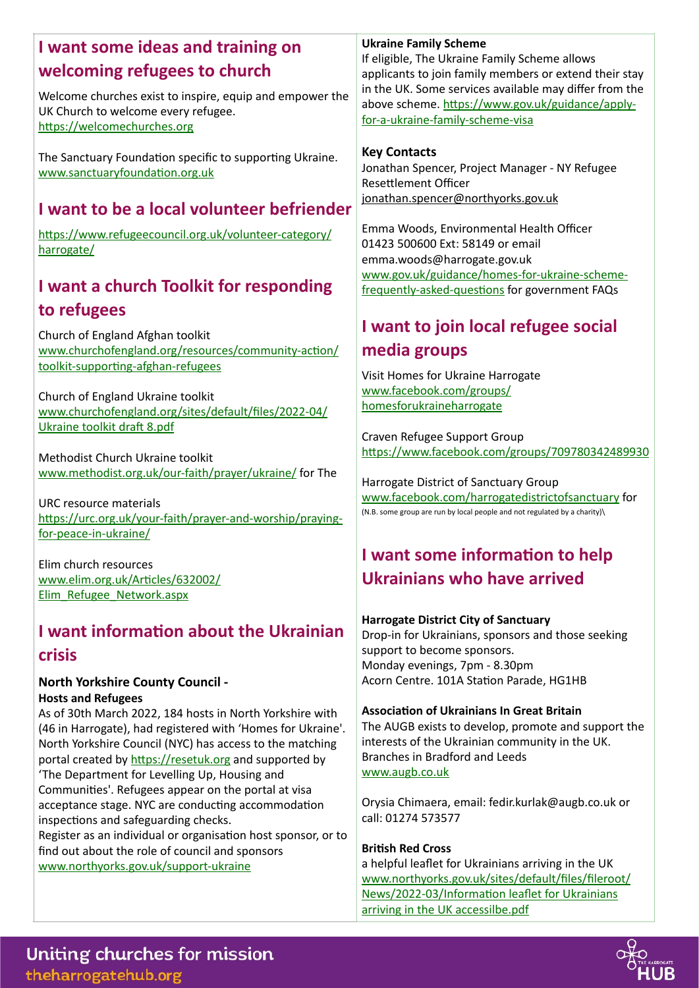### **I want some ideas and training on welcoming refugees to church**

Welcome churches exist to inspire, equip and empower the UK Church to welcome every refugee. https://welcomechurches.org

The Sanctuary Foundation specific to supporting Ukraine. www.sanctuaryfoundation.org.uk

## **I want to be a local volunteer befriender**

https://www.refugeecouncil.org.uk/volunteer-category/ harrogate/

## **I want a church Toolkit for responding to refugees**

Church of England Afghan toolkit www.churchofengland.org/resources/community-action/ toolkit-supporting-afghan-refugees

Church of England Ukraine toolkit [www.churchofengland.org/sites/default/files/2022-04/](https://www.churchofengland.org/sites/default/files/2022-04/Ukraine%20toolkit%20draft%208.pdf) Ukraine toolkit draft 8.pdf

Methodist Church Ukraine toolkit [www.methodist.org.uk/our-faith/prayer/ukraine/](https://www.methodist.org.uk/our-faith/prayer/ukraine/) for The

URC resource materials https://urc.org.uk/your-faith/prayer-and-worship/prayingfor-peace-in-ukraine/

Elim church resources www.elim.org.uk/Articles/632002/ Elim\_Refugee\_Network.aspx

## **I want information about the Ukrainian crisis**

#### **North Yorkshire County Council - Hosts and Refugees**

As of 30th March 2022, 184 hosts in North Yorkshire with (46 in Harrogate), had registered with 'Homes for Ukraine'. North Yorkshire Council (NYC) has access to the matching portal created by https://resetuk.org and supported by 'The Department for Levelling Up, Housing and Communities'. Refugees appear on the portal at visa acceptance stage. NYC are conducting accommodation inspections and safeguarding checks. Register as an individual or organisation host sponsor, or to find out about the role of council and sponsors [www.northyorks.gov.uk/support-ukraine](https://www.northyorks.gov.uk/support-ukraine) 

### **Ukraine Family Scheme**

If eligible, The Ukraine Family Scheme allows applicants to join family members or extend their stay in the UK. Some services available may differ from the above scheme. https://www.gov.uk/guidance/applyfor-a-ukraine-family-scheme-visa

### **Key Contacts**

Jonathan Spencer, Project Manager - NY Refugee Resettlement Officer [jonathan.spencer@northyorks.gov.uk](mailto:jonathan.spencer@northyorks.gov.uk)

Emma Woods, Environmental Health Officer 01423 500600 Ext: 58149 or email [emma.woods@harrogate.gov.uk](mailto:emma.woods@harrogate.gov.uk) [www.gov.uk/guidance/homes-for-ukraine-scheme](https://www.gov.uk/guidance/homes-for-ukraine-scheme-frequently-asked-questions)frequently-asked-questions for government FAQs

## **I want to join local refugee social media groups**

Visit Homes for Ukraine Harrogate [www.facebook.com/groups/](https://www.facebook.com/groups/homesforukraineharrogate) homesforukraineharrogate

Craven Refugee Support Group https://www.facebook.com/groups/709780342489930

Harrogate District of Sanctuary Group [www.facebook.com/harrogatedistrictofsanctuary](https://www.facebook.com/harrogatedistrictofsanctuary) for (N.B. some group are run by local people and not regulated by a charity)\

# **I want some information to help Ukrainians who have arrived**

#### **Harrogate District City of Sanctuary**

Drop-in for Ukrainians, sponsors and those seeking support to become sponsors. Monday evenings, 7pm - 8.30pm Acorn Centre, 101A Station Parade, HG1HB

#### **Association of Ukrainians In Great Britain**

The AUGB exists to develop, promote and support the interests of the Ukrainian community in the UK. Branches in Bradford and Leeds [www.augb.co.uk](https://www.augb.co.uk)

Orysia Chimaera, email: [fedir.kurlak@augb.co.uk](mailto:fedir.kurlak@augb.co.uk) or call: 01274 573577

#### **British Red Cross**

a helpful leaflet for Ukrainians arriving in the UK www.northyorks.gov.uk/sites/default/files/fileroot/ News/2022-03/Information leaflet for Ukrainians arriving in the UK accessilbe.pdf

Uniting churches for mission theharrogatehub.org